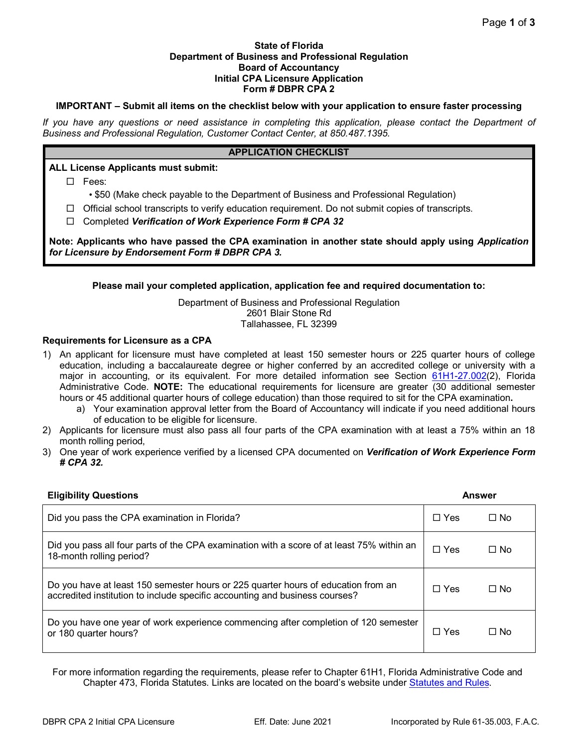#### **State of Florida Department of Business and Professional Regulation Board of Accountancy Initial CPA Licensure Application Form # DBPR CPA 2**

# **IMPORTANT – Submit all items on the checklist below with your application to ensure faster processing**

*If you have any questions or need assistance in completing this application, please contact the Department of Business and Professional Regulation, Customer Contact Center, at 850.487.1395.*

### **APPLICATION CHECKLIST**

## **ALL License Applicants must submit:**

Fees:

• \$50 (Make check payable to the Department of Business and Professional Regulation)

 $\Box$  Official school transcripts to verify education requirement. Do not submit copies of transcripts.

Completed *Verification of Work Experience Form # CPA 32* 

**Note: Applicants who have passed the CPA examination in another state should apply using** *Application for Licensure by Endorsement Form # DBPR CPA 3.*

## **Please mail your completed application, application fee and required documentation to:**

Department of Business and Professional Regulation 2601 Blair Stone Rd Tallahassee, FL 32399

## **Requirements for Licensure as a CPA**

- 1) An applicant for licensure must have completed at least 150 semester hours or 225 quarter hours of college education, including a baccalaureate degree or higher conferred by an accredited college or university with a major in accounting, or its equivalent. For more detailed information see Section [61H1-27.002\(](https://www.flrules.org/gateway/RuleNo.asp?title=EDUCATIONAL%20AND%20EXPERIENCE%20REQUIREMENTS&ID=61H1-27.002)2), Florida Administrative Code. **NOTE:** The educational requirements for licensure are greater (30 additional semester hours or 45 additional quarter hours of college education) than those required to sit for the CPA examination**.**
	- a) Your examination approval letter from the Board of Accountancy will indicate if you need additional hours of education to be eligible for licensure.
- 2) Applicants for licensure must also pass all four parts of the CPA examination with at least a 75% within an 18 month rolling period,
- 3) One year of work experience verified by a licensed CPA documented on *Verification of Work Experience Form # CPA 32.*

| <b>Eligibility Questions</b>                                                                                                                                     | Answer     |           |
|------------------------------------------------------------------------------------------------------------------------------------------------------------------|------------|-----------|
| Did you pass the CPA examination in Florida?                                                                                                                     | $\Box$ Yes | ⊟ No      |
| Did you pass all four parts of the CPA examination with a score of at least 75% within an<br>18-month rolling period?                                            | $\Box$ Yes | $\Box$ No |
| Do you have at least 150 semester hours or 225 quarter hours of education from an<br>accredited institution to include specific accounting and business courses? | $\Box$ Yes | $\Box$ No |
| Do you have one year of work experience commencing after completion of 120 semester<br>or 180 quarter hours?                                                     | $\Box$ Yes | $\Box$ No |

For more information regarding the requirements, please refer to Chapter 61H1, Florida Administrative Code and Chapter 473, Florida Statutes. Links are located on the board's website under [Statutes and Rules.](http://www.myfloridalicense.com/DBPR/certified-public-accounting/statutes-and-rules/)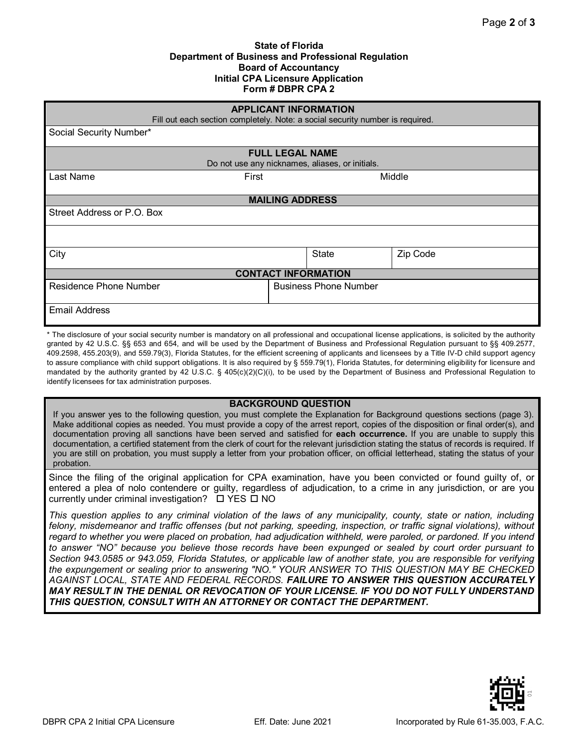#### **State of Florida Department of Business and Professional Regulation Board of Accountancy Initial CPA Licensure Application Form # DBPR CPA 2**

| <b>APPLICANT INFORMATION</b><br>Fill out each section completely. Note: a social security number is required. |                              |              |          |  |
|---------------------------------------------------------------------------------------------------------------|------------------------------|--------------|----------|--|
| Social Security Number*                                                                                       |                              |              |          |  |
|                                                                                                               | <b>FULL LEGAL NAME</b>       |              |          |  |
| Do not use any nicknames, aliases, or initials.                                                               |                              |              |          |  |
| Last Name<br>First                                                                                            |                              |              | Middle   |  |
| <b>MAILING ADDRESS</b>                                                                                        |                              |              |          |  |
| Street Address or P.O. Box                                                                                    |                              |              |          |  |
|                                                                                                               |                              |              |          |  |
| City                                                                                                          |                              | <b>State</b> | Zip Code |  |
| <b>CONTACT INFORMATION</b>                                                                                    |                              |              |          |  |
| <b>Residence Phone Number</b>                                                                                 | <b>Business Phone Number</b> |              |          |  |
| <b>Email Address</b>                                                                                          |                              |              |          |  |

\* The disclosure of your social security number is mandatory on all professional and occupational license applications, is solicited by the authority granted by 42 U.S.C. §§ 653 and 654, and will be used by the Department of Business and Professional Regulation pursuant to §§ 409.2577, 409.2598, 455.203(9), and 559.79(3), Florida Statutes, for the efficient screening of applicants and licensees by a Title IV-D child support agency to assure compliance with child support obligations. It is also required by § 559.79(1), Florida Statutes, for determining eligibility for licensure and mandated by the authority granted by 42 U.S.C. § 405(c)(2)(C)(i), to be used by the Department of Business and Professional Regulation to identify licensees for tax administration purposes.

#### **BACKGROUND QUESTION**

If you answer yes to the following question, you must complete the Explanation for Background questions sections (page 3). Make additional copies as needed. You must provide a copy of the arrest report, copies of the disposition or final order(s), and documentation proving all sanctions have been served and satisfied for **each occurrence.** If you are unable to supply this documentation, a certified statement from the clerk of court for the relevant jurisdiction stating the status of records is required. If you are still on probation, you must supply a letter from your probation officer, on official letterhead, stating the status of your probation.

Since the filing of the original application for CPA examination, have you been convicted or found guilty of, or entered a plea of nolo contendere or guilty, regardless of adjudication, to a crime in any jurisdiction, or are you currently under criminal investigation?  $\Box$  YES  $\Box$  NO

*This question applies to any criminal violation of the laws of any municipality, county, state or nation, including felony, misdemeanor and traffic offenses (but not parking, speeding, inspection, or traffic signal violations), without*  regard to whether you were placed on probation, had adjudication withheld, were paroled, or pardoned. If you intend *to answer "NO" because you believe those records have been expunged or sealed by court order pursuant to Section 943.0585 or 943.059, Florida Statutes, or applicable law of another state, you are responsible for verifying the expungement or sealing prior to answering "NO." YOUR ANSWER TO THIS QUESTION MAY BE CHECKED AGAINST LOCAL, STATE AND FEDERAL RECORDS. FAILURE TO ANSWER THIS QUESTION ACCURATELY MAY RESULT IN THE DENIAL OR REVOCATION OF YOUR LICENSE. IF YOU DO NOT FULLY UNDERSTAND THIS QUESTION, CONSULT WITH AN ATTORNEY OR CONTACT THE DEPARTMENT.*